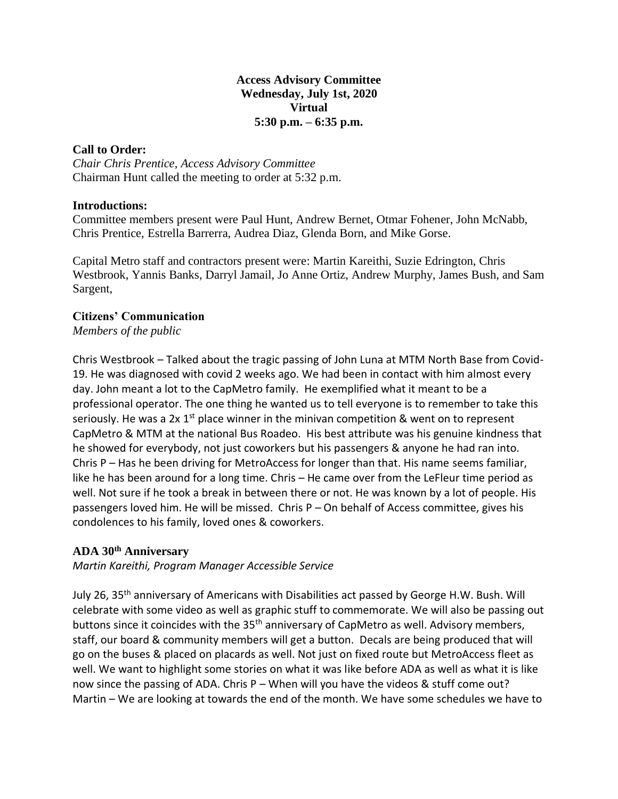#### **Access Advisory Committee Wednesday, July 1st, 2020 Virtual 5:30 p.m. – 6:35 p.m.**

### **Call to Order:**

*Chair Chris Prentice, Access Advisory Committee* Chairman Hunt called the meeting to order at 5:32 p.m.

### **Introductions:**

Committee members present were Paul Hunt, Andrew Bernet, Otmar Fohener, John McNabb, Chris Prentice, Estrella Barrerra, Audrea Diaz, Glenda Born, and Mike Gorse.

Capital Metro staff and contractors present were: Martin Kareithi, Suzie Edrington, Chris Westbrook, Yannis Banks, Darryl Jamail, Jo Anne Ortiz, Andrew Murphy, James Bush, and Sam Sargent,

### **Citizens' Communication**

*Members of the public*

Chris Westbrook – Talked about the tragic passing of John Luna at MTM North Base from Covid-19. He was diagnosed with covid 2 weeks ago. We had been in contact with him almost every day. John meant a lot to the CapMetro family. He exemplified what it meant to be a professional operator. The one thing he wanted us to tell everyone is to remember to take this seriously. He was a 2x  $1^{st}$  place winner in the minivan competition & went on to represent CapMetro & MTM at the national Bus Roadeo. His best attribute was his genuine kindness that he showed for everybody, not just coworkers but his passengers & anyone he had ran into. Chris P – Has he been driving for MetroAccess for longer than that. His name seems familiar, like he has been around for a long time. Chris – He came over from the LeFleur time period as well. Not sure if he took a break in between there or not. He was known by a lot of people. His passengers loved him. He will be missed. Chris P – On behalf of Access committee, gives his condolences to his family, loved ones & coworkers.

# **ADA 30 th Anniversary**

*Martin Kareithi, Program Manager Accessible Service*

July 26, 35<sup>th</sup> anniversary of Americans with Disabilities act passed by George H.W. Bush. Will celebrate with some video as well as graphic stuff to commemorate. We will also be passing out buttons since it coincides with the 35<sup>th</sup> anniversary of CapMetro as well. Advisory members, staff, our board & community members will get a button. Decals are being produced that will go on the buses & placed on placards as well. Not just on fixed route but MetroAccess fleet as well. We want to highlight some stories on what it was like before ADA as well as what it is like now since the passing of ADA. Chris P – When will you have the videos & stuff come out? Martin – We are looking at towards the end of the month. We have some schedules we have to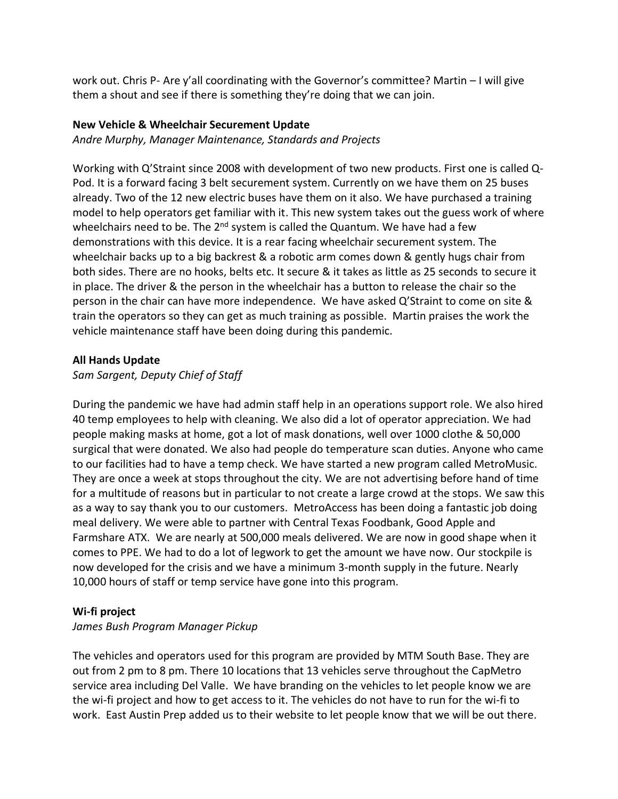work out. Chris P- Are y'all coordinating with the Governor's committee? Martin – I will give them a shout and see if there is something they're doing that we can join.

## **New Vehicle & Wheelchair Securement Update**

*Andre Murphy, Manager Maintenance, Standards and Projects*

Working with Q'Straint since 2008 with development of two new products. First one is called Q-Pod. It is a forward facing 3 belt securement system. Currently on we have them on 25 buses already. Two of the 12 new electric buses have them on it also. We have purchased a training model to help operators get familiar with it. This new system takes out the guess work of where wheelchairs need to be. The  $2^{nd}$  system is called the Quantum. We have had a few demonstrations with this device. It is a rear facing wheelchair securement system. The wheelchair backs up to a big backrest & a robotic arm comes down & gently hugs chair from both sides. There are no hooks, belts etc. It secure & it takes as little as 25 seconds to secure it in place. The driver & the person in the wheelchair has a button to release the chair so the person in the chair can have more independence. We have asked Q'Straint to come on site & train the operators so they can get as much training as possible. Martin praises the work the vehicle maintenance staff have been doing during this pandemic.

### **All Hands Update**

# *Sam Sargent, Deputy Chief of Staff*

During the pandemic we have had admin staff help in an operations support role. We also hired 40 temp employees to help with cleaning. We also did a lot of operator appreciation. We had people making masks at home, got a lot of mask donations, well over 1000 clothe & 50,000 surgical that were donated. We also had people do temperature scan duties. Anyone who came to our facilities had to have a temp check. We have started a new program called MetroMusic. They are once a week at stops throughout the city. We are not advertising before hand of time for a multitude of reasons but in particular to not create a large crowd at the stops. We saw this as a way to say thank you to our customers. MetroAccess has been doing a fantastic job doing meal delivery. We were able to partner with Central Texas Foodbank, Good Apple and Farmshare ATX. We are nearly at 500,000 meals delivered. We are now in good shape when it comes to PPE. We had to do a lot of legwork to get the amount we have now. Our stockpile is now developed for the crisis and we have a minimum 3-month supply in the future. Nearly 10,000 hours of staff or temp service have gone into this program.

#### **Wi-fi project**

# *James Bush Program Manager Pickup*

The vehicles and operators used for this program are provided by MTM South Base. They are out from 2 pm to 8 pm. There 10 locations that 13 vehicles serve throughout the CapMetro service area including Del Valle. We have branding on the vehicles to let people know we are the wi-fi project and how to get access to it. The vehicles do not have to run for the wi-fi to work. East Austin Prep added us to their website to let people know that we will be out there.